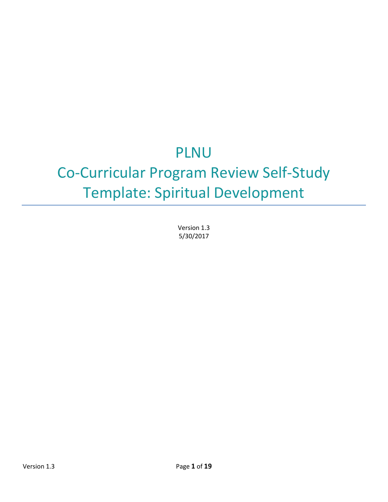# PLNU

# Co-Curricular Program Review Self-Study Template: Spiritual Development

Version 1.3 5/30/2017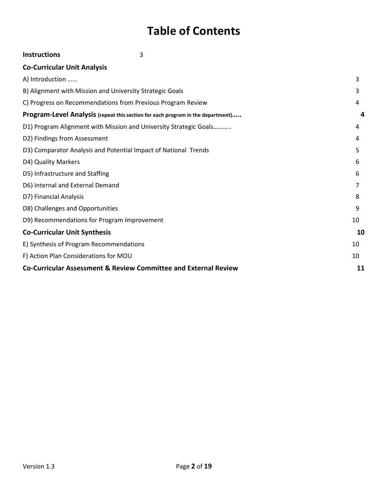# **Table of Contents**

| 3<br><b>Instructions</b>                                                        |    |
|---------------------------------------------------------------------------------|----|
| <b>Co-Curricular Unit Analysis</b>                                              |    |
| A) Introduction                                                                 | 3  |
| B) Alignment with Mission and University Strategic Goals                        | 3  |
| C) Progress on Recommendations from Previous Program Review                     | 4  |
| Program-Level Analysis (repeat this section for each program in the department) | 4  |
| D1) Program Alignment with Mission and University Strategic Goals               | 4  |
| D2) Findings from Assessment                                                    | 4  |
| D3) Comparator Analysis and Potential Impact of National Trends                 | 5  |
| D4) Quality Markers                                                             | 6  |
| D5) Infrastructure and Staffing                                                 | 6  |
| D6) Internal and External Demand                                                | 7  |
| D7) Financial Analysis                                                          | 8  |
| D8) Challenges and Opportunities                                                | 9  |
| D9) Recommendations for Program Improvement                                     | 10 |
| <b>Co-Curricular Unit Synthesis</b>                                             | 10 |
| E) Synthesis of Program Recommendations                                         | 10 |
| F) Action Plan Considerations for MOU                                           | 10 |
| <b>Co-Curricular Assessment &amp; Review Committee and External Review</b>      | 11 |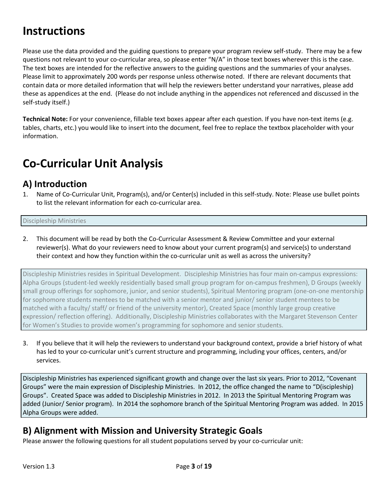# <span id="page-2-0"></span>**Instructions**

Please use the data provided and the guiding questions to prepare your program review self-study. There may be a few questions not relevant to your co-curricular area, so please enter "N/A" in those text boxes wherever this is the case. The text boxes are intended for the reflective answers to the guiding questions and the summaries of your analyses. Please limit to approximately 200 words per response unless otherwise noted. If there are relevant documents that contain data or more detailed information that will help the reviewers better understand your narratives, please add these as appendices at the end. (Please do not include anything in the appendices not referenced and discussed in the self-study itself.)

**Technical Note:** For your convenience, fillable text boxes appear after each question. If you have non-text items (e.g. tables, charts, etc.) you would like to insert into the document, feel free to replace the textbox placeholder with your information.

# <span id="page-2-1"></span>**Co-Curricular Unit Analysis**

### <span id="page-2-2"></span>**A) Introduction**

Name of Co-Curricular Unit, Program(s), and/or Center(s) included in this self-study. Note: Please use bullet points to list the relevant information for each co-curricular area.

### Discipleship Ministries

2. This document will be read by both the Co-Curricular Assessment & Review Committee and your external reviewer(s). What do your reviewers need to know about your current program(s) and service(s) to understand their context and how they function within the co-curricular unit as well as across the university?

Discipleship Ministries resides in Spiritual Development. Discipleship Ministries has four main on-campus expressions: Alpha Groups (student-led weekly residentially based small group program for on-campus freshmen), D Groups (weekly small group offerings for sophomore, junior, and senior students), Spiritual Mentoring program (one-on-one mentorship for sophomore students mentees to be matched with a senior mentor and junior/ senior student mentees to be matched with a faculty/ staff/ or friend of the university mentor), Created Space (monthly large group creative expression/ reflection offering). Additionally, Discipleship Ministries collaborates with the Margaret Stevenson Center for Women's Studies to provide women's programming for sophomore and senior students.

3. If you believe that it will help the reviewers to understand your background context, provide a brief history of what has led to your co-curricular unit's current structure and programming, including your offices, centers, and/or services.

Discipleship Ministries has experienced significant growth and change over the last six years. Prior to 2012, "Covenant Groups" were the main expression of Discipleship Ministries. In 2012, the office changed the name to "D(iscipleship) Groups". Created Space was added to Discipleship Ministries in 2012. In 2013 the Spiritual Mentoring Program was added (Junior/ Senior program). In 2014 the sophomore branch of the Spiritual Mentoring Program was added. In 2015 Alpha Groups were added.

### <span id="page-2-3"></span>**B) Alignment with Mission and University Strategic Goals**

Please answer the following questions for all student populations served by your co-curricular unit: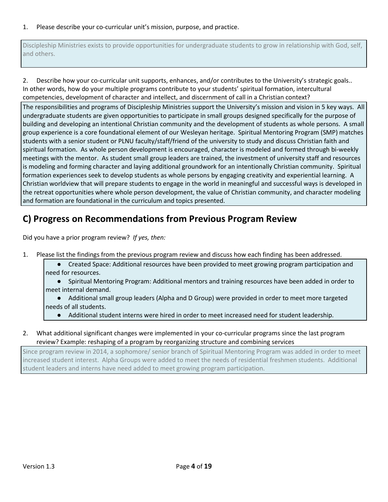### 1. Please describe your co-curricular unit's mission, purpose, and practice.

Discipleship Ministries exists to provide opportunities for undergraduate students to grow in relationship with God, self, and others.

2. Describe how your co-curricular unit supports, enhances, and/or contributes to the University's strategic goals.. In other words, how do your multiple programs contribute to your students' spiritual formation, intercultural competencies, development of character and intellect, and discernment of call in a Christian context?

The responsibilities and programs of Discipleship Ministries support the University's mission and vision in 5 key ways. All undergraduate students are given opportunities to participate in small groups designed specifically for the purpose of building and developing an intentional Christian community and the development of students as whole persons. A small group experience is a core foundational element of our Wesleyan heritage. Spiritual Mentoring Program (SMP) matches students with a senior student or PLNU faculty/staff/friend of the university to study and discuss Christian faith and spiritual formation. As whole person development is encouraged, character is modeled and formed through bi-weekly meetings with the mentor. As student small group leaders are trained, the investment of university staff and resources is modeling and forming character and laying additional groundwork for an intentionally Christian community. Spiritual formation experiences seek to develop students as whole persons by engaging creativity and experiential learning. A Christian worldview that will prepare students to engage in the world in meaningful and successful ways is developed in the retreat opportunities where whole person development, the value of Christian community, and character modeling and formation are foundational in the curriculum and topics presented.

### <span id="page-3-0"></span>**C) Progress on Recommendations from Previous Program Review**

Did you have a prior program review? *If yes, then:*

- 1. Please list the findings from the previous program review and discuss how each finding has been addressed.
	- Created Space: Additional resources have been provided to meet growing program participation and need for resources.

● Spiritual Mentoring Program: Additional mentors and training resources have been added in order to meet internal demand.

- Additional small group leaders (Alpha and D Group) were provided in order to meet more targeted needs of all students.
	- Additional student interns were hired in order to meet increased need for student leadership.
- 2. What additional significant changes were implemented in your co-curricular programs since the last program review? Example: reshaping of a program by reorganizing structure and combining services

Since program review in 2014, a sophomore/ senior branch of Spiritual Mentoring Program was added in order to meet increased student interest. Alpha Groups were added to meet the needs of residential freshmen students. Additional student leaders and interns have need added to meet growing program participation.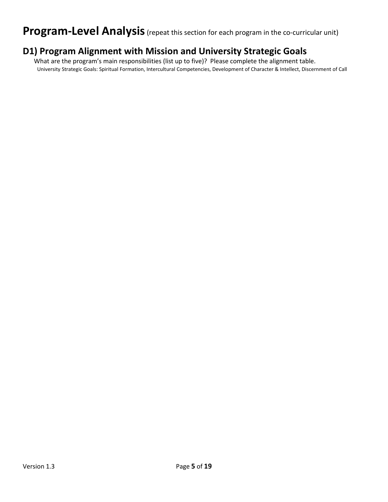## <span id="page-4-0"></span>**Program-Level Analysis** (repeat this section for each program in the co-curricular unit)

### **D1) Program Alignment with Mission and University Strategic Goals**

 What are the program's main responsibilities (list up to five)? Please complete the alignment table. University Strategic Goals: Spiritual Formation, Intercultural Competencies, Development of Character & Intellect, Discernment of Call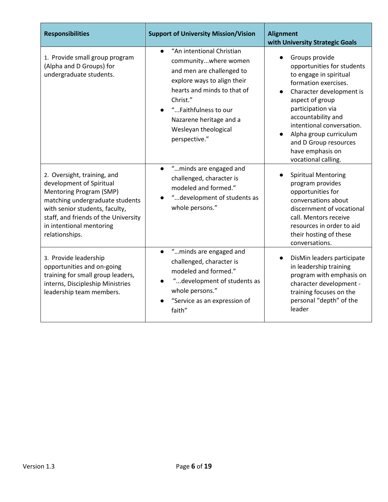| <b>Responsibilities</b>                                                                                                                                                                                                                       | <b>Support of University Mission/Vision</b>                                                                                                                                                                                                                                                 | <b>Alignment</b><br>with University Strategic Goals                                                                                                                                                                                                                                                                 |  |
|-----------------------------------------------------------------------------------------------------------------------------------------------------------------------------------------------------------------------------------------------|---------------------------------------------------------------------------------------------------------------------------------------------------------------------------------------------------------------------------------------------------------------------------------------------|---------------------------------------------------------------------------------------------------------------------------------------------------------------------------------------------------------------------------------------------------------------------------------------------------------------------|--|
| 1. Provide small group program<br>(Alpha and D Groups) for<br>undergraduate students.                                                                                                                                                         | "An intentional Christian<br>communitywhere women<br>and men are challenged to<br>explore ways to align their<br>hearts and minds to that of<br>Christ."<br>"Faithfulness to our<br>Nazarene heritage and a<br>Wesleyan theological<br>perspective."<br>"minds are engaged and<br>$\bullet$ | Groups provide<br>opportunities for students<br>to engage in spiritual<br>formation exercises.<br>Character development is<br>aspect of group<br>participation via<br>accountability and<br>intentional conversation.<br>Alpha group curriculum<br>and D Group resources<br>have emphasis on<br>vocational calling. |  |
| 2. Oversight, training, and<br>development of Spiritual<br>Mentoring Program (SMP)<br>matching undergraduate students<br>with senior students, faculty,<br>staff, and friends of the University<br>in intentional mentoring<br>relationships. | challenged, character is<br>modeled and formed."<br>"development of students as<br>whole persons."                                                                                                                                                                                          | <b>Spiritual Mentoring</b><br>program provides<br>opportunities for<br>conversations about<br>discernment of vocational<br>call. Mentors receive<br>resources in order to aid<br>their hosting of these<br>conversations.                                                                                           |  |
| 3. Provide leadership<br>opportunities and on-going<br>training for small group leaders,<br>interns, Discipleship Ministries<br>leadership team members.                                                                                      | "minds are engaged and<br>$\bullet$<br>challenged, character is<br>modeled and formed."<br>"development of students as<br>whole persons."<br>"Service as an expression of<br>faith"                                                                                                         | DisMin leaders participate<br>in leadership training<br>program with emphasis on<br>character development -<br>training focuses on the<br>personal "depth" of the<br>leader                                                                                                                                         |  |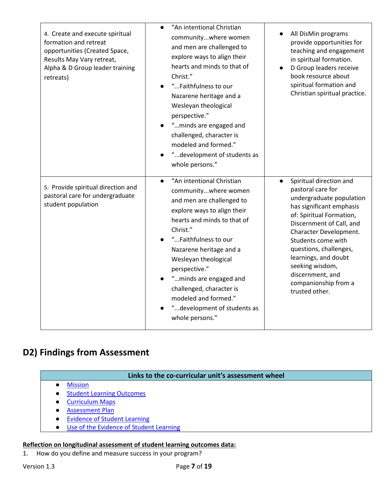| 4. Create and execute spiritual<br>formation and retreat<br>opportunities (Created Space,<br>Results May Vary retreat,<br>Alpha & D Group leader training<br>retreats) | "An intentional Christian<br>communitywhere women<br>and men are challenged to<br>explore ways to align their<br>hearts and minds to that of<br>Christ."<br>"Faithfulness to our<br>Nazarene heritage and a<br>Wesleyan theological<br>perspective."<br>"minds are engaged and<br>challenged, character is<br>modeled and formed."<br>"development of students as<br>whole persons."              | All DisMin programs<br>provide opportunities for<br>teaching and engagement<br>in spiritual formation.<br>D Group leaders receive<br>book resource about<br>spiritual formation and<br>Christian spiritual practice.                                                                                                                                         |
|------------------------------------------------------------------------------------------------------------------------------------------------------------------------|---------------------------------------------------------------------------------------------------------------------------------------------------------------------------------------------------------------------------------------------------------------------------------------------------------------------------------------------------------------------------------------------------|--------------------------------------------------------------------------------------------------------------------------------------------------------------------------------------------------------------------------------------------------------------------------------------------------------------------------------------------------------------|
| 5. Provide spiritual direction and<br>pastoral care for undergraduate<br>student population                                                                            | "An intentional Christian<br>$\bullet$<br>communitywhere women<br>and men are challenged to<br>explore ways to align their<br>hearts and minds to that of<br>Christ."<br>"Faithfulness to our<br>Nazarene heritage and a<br>Wesleyan theological<br>perspective."<br>"minds are engaged and<br>challenged, character is<br>modeled and formed."<br>"development of students as<br>whole persons." | Spiritual direction and<br>$\bullet$<br>pastoral care for<br>undergraduate population<br>has significant emphasis<br>of: Spiritual Formation,<br>Discernment of Call, and<br>Character Development.<br>Students come with<br>questions, challenges,<br>learnings, and doubt<br>seeking wisdom,<br>discernment, and<br>companionship from a<br>trusted other. |

### <span id="page-6-0"></span>**D2) Findings from Assessment**

### **Links to the co-curricular unit's assessment wheel**

- [Mission](http://assessment.pointloma.edu/co-curricular-assessment/spiritual-development/mission/)
- [Student Learning Outcomes](http://assessment.pointloma.edu/co-curricular-assessment/spiritual-development/student-learning-outcomes/)
- [Curriculum Maps](http://assessment.pointloma.edu/co-curricular-assessment/spiritual-development/curriculum-maps/)
- [Assessment Plan](http://assessment.pointloma.edu/co-curricular-assessment/spiritual-development/assessment-plan/)
- [Evidence of Student Learning](http://assessment.pointloma.edu/co-curricular-assessment/spiritual-development/evidence-of-student-learning/)
- [Use of the Evidence of Student Learning](http://assessment.pointloma.edu/co-curricular-assessment/spiritual-development/use-of-the-evidence-of-student-learning/)

### **Reflection on longitudinal assessment of student learning outcomes data:**

1. How do you define and measure success in your program?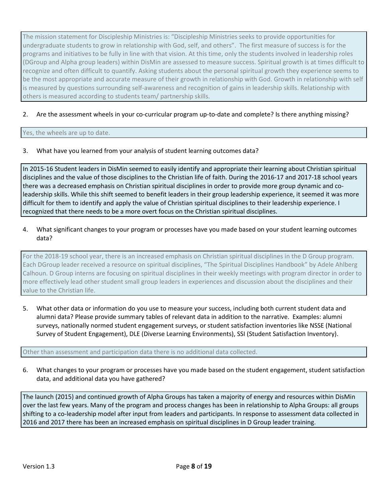The mission statement for Discipleship Ministries is: "Discipleship Ministries seeks to provide opportunities for undergraduate students to grow in relationship with God, self, and others". The first measure of success is for the programs and initiatives to be fully in line with that vision. At this time, only the students involved in leadership roles (DGroup and Alpha group leaders) within DisMin are assessed to measure success. Spiritual growth is at times difficult to recognize and often difficult to quantify. Asking students about the personal spiritual growth they experience seems to be the most appropriate and accurate measure of their growth in relationship with God. Growth in relationship with self is measured by questions surrounding self-awareness and recognition of gains in leadership skills. Relationship with others is measured according to students team/ partnership skills.

### 2. Are the assessment wheels in your co-curricular program up-to-date and complete? Is there anything missing?

#### Yes, the wheels are up to date.

3. What have you learned from your analysis of student learning outcomes data?

In 2015-16 Student leaders in DisMin seemed to easily identify and appropriate their learning about Christian spiritual disciplines and the value of those disciplines to the Christian life of faith. During the 2016-17 and 2017-18 school years there was a decreased emphasis on Christian spiritual disciplines in order to provide more group dynamic and coleadership skills. While this shift seemed to benefit leaders in their group leadership experience, it seemed it was more difficult for them to identify and apply the value of Christian spiritual disciplines to their leadership experience. I recognized that there needs to be a more overt focus on the Christian spiritual disciplines.

4. What significant changes to your program or processes have you made based on your student learning outcomes data?

For the 2018-19 school year, there is an increased emphasis on Christian spiritual disciplines in the D Group program. Each DGroup leader received a resource on spiritual disciplines, "The Spiritual Disciplines Handbook" by Adele Ahlberg Calhoun. D Group interns are focusing on spiritual disciplines in their weekly meetings with program director in order to more effectively lead other student small group leaders in experiences and discussion about the disciplines and their value to the Christian life.

5. What other data or information do you use to measure your success, including both current student data and alumni data? Please provide summary tables of relevant data in addition to the narrative. Examples: alumni surveys, nationally normed student engagement surveys, or student satisfaction inventories like NSSE (National Survey of Student Engagement), DLE (Diverse Learning Environments), SSI (Student Satisfaction Inventory).

Other than assessment and participation data there is no additional data collected.

6. What changes to your program or processes have you made based on the student engagement, student satisfaction data, and additional data you have gathered?

The launch (2015) and continued growth of Alpha Groups has taken a majority of energy and resources within DisMin over the last few years. Many of the program and process changes has been in relationship to Alpha Groups: all groups shifting to a co-leadership model after input from leaders and participants. In response to assessment data collected in 2016 and 2017 there has been an increased emphasis on spiritual disciplines in D Group leader training.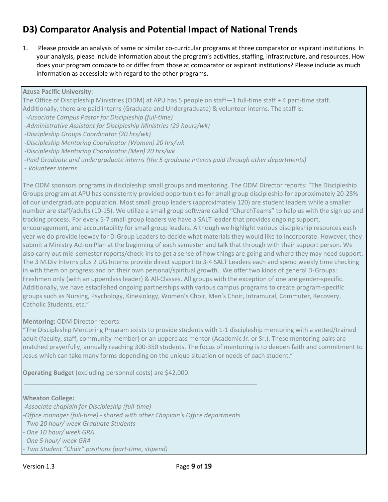### <span id="page-8-0"></span>**D3) Comparator Analysis and Potential Impact of National Trends**

1. Please provide an analysis of same or similar co-curricular programs at three comparator or aspirant institutions. In your analysis, please include information about the program's activities, staffing, infrastructure, and resources. How does your program compare to or differ from those at comparator or aspirant institutions? Please include as much information as accessible with regard to the other programs.

### **Azusa Pacific University:**

The Office of Discipleship Ministries (ODM) at APU has 5 people on staff—1 full-time staff + 4 part-time staff. Additionally, there are paid interns (Graduate and Undergraduate) & volunteer interns. The staff is:

*-Associate Campus Pastor for Discipleship (full-time)*

*-Administrative Assistant for Discipleship Ministries (29 hours/wk)*

*-Discipleship Groups Coordinator (20 hrs/wk)* 

*-Discipleship Mentoring Coordinator (Women) 20 hrs/wk* 

*-Discipleship Mentoring Coordinator (Men) 20 hrs/wk*

*-Paid Graduate and undergraduate interns (the 5 graduate interns paid through other departments)*

*- Volunteer interns*

The ODM sponsors programs in discipleship small groups and mentoring. The ODM Director reports: "The Discipleship Groups program at APU has consistently provided opportunities for small group discipleship for approximately 20-25% of our undergraduate population. Most small group leaders (approximately 120) are student leaders while a smaller number are staff/adults (10-15). We utilize a small group software called "ChurchTeams" to help us with the sign up and tracking process. For every 5-7 small group leaders we have a SALT leader that provides ongoing support, encouragement, and accountability for small group leaders. Although we highlight various discipleship resources each year we do provide leeway for D-Group Leaders to decide what materials they would like to incorporate. However, they submit a Ministry Action Plan at the beginning of each semester and talk that through with their support person. We also carry out mid-semester reports/check-ins to get a sense of how things are going and where they may need support. The 3 M.Div Interns plus 2 UG Interns provide direct support to 3-4 SALT Leaders each and spend weekly time checking in with them on progress and on their own personal/spiritual growth. We offer two kinds of general D-Groups: Freshmen only (with an upperclass leader) & All-Classes. All groups with the exception of one are gender-specific. Additionally, we have established ongoing partnerships with various campus programs to create program-specific groups such as Nursing, Psychology, Kinesiology, Women's Choir, Men's Choir, Intramural, Commuter, Recovery, Catholic Students, etc."

### **Mentoring:** ODM Director reports:

"The Discipleship Mentoring Program exists to provide students with 1-1 discipleship mentoring with a vetted/trained adult (faculty, staff, community member) or an upperclass mentor (Academic Jr. or Sr.). These mentoring pairs are matched prayerfully, annually reaching 300-350 students. The focus of mentoring is to deepen faith and commitment to Jesus which can take many forms depending on the unique situation or needs of each student."

**Operating Budge**t (excluding personnel costs) are \$42,000.

#### **Wheaton College:**

*-Associate chaplain for Discipleship (full-time)*

*-Office manager (full-time) - shared with other Chaplain's Office departments*

\_\_\_\_\_\_\_\_\_\_\_\_\_\_\_\_\_\_\_\_\_\_\_\_\_\_\_\_\_\_\_\_\_\_\_\_\_\_\_\_\_\_\_\_\_\_\_\_\_\_\_\_\_\_\_\_\_\_\_\_\_\_\_\_\_\_\_

*- Two 20 hour/ week Graduate Students*

*- One 10 hour/ week GRA*

*- Two Student "Chair" positions (part-time, stipend)*

*<sup>-</sup> One 5 hour/ week GRA*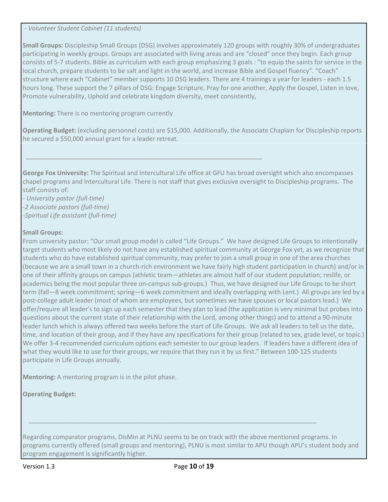*- Volunteer Student Cabinet (11 students)*

**Small Groups:** Discipleship Small Groups (DSG) involves approximately 120 groups with roughly 30% of undergraduates participating in weekly groups. Groups are associated with living areas and are "closed" once they begin. Each group consists of 5-7 students. Bible as curriculum with each group emphasizing 3 goals : "to equip the saints for service in the local church, prepare students to be salt and light in the world, and increase Bible and Gospel fluency". "Coach" structure where each "Cabinet" member supports 10 DSG leaders. There are 4 trainings a year for leaders - each 1.5 hours long. These support the 7 pillars of DSG: Engage Scripture, Pray for one another, Apply the Gospel, Listen in love, Promote vulnerability, Uphold and celebrate kingdom diversity, meet consistently,

**Mentoring:** There is no mentoring program currently

**Operating Budget:** (excluding personnel costs) are \$15,000. Additionally, the Associate Chaplain for Discipleship reports he secured a \$50,000 annual grant for a leader retreat.

**George Fox University:** The Spiritual and Intercultural Life office at GFU has broad oversight which also encompasses chapel programs and Intercultural Life. There is not staff that gives exclusive oversight to Discipleship programs. The staff consists of:

\_\_\_\_\_\_\_\_\_\_\_\_\_\_\_\_\_\_\_\_\_\_\_\_\_\_\_\_\_\_\_\_\_\_\_\_\_\_\_\_\_\_\_\_\_\_\_\_\_\_\_\_\_\_\_\_\_\_\_\_\_\_\_\_\_\_\_\_

*- University pastor (full-time) -2 Associate pastors (full-time) -Spiritual Life assistant (full-time)* 

#### **Small Groups:**

From university pastor: "Our small group model is called "Life Groups." We have designed Life Groups to intentionally target students who most likely do not have any established spiritual community at George Fox yet, as we recognize that students who do have established spiritual community, may prefer to join a small group in one of the area churches (because we are a small town in a church-rich environment we have fairly high student participation in church) and/or in one of their affinity groups on campus (athletic team—athletes are almost half of our student population; reslife, or academics being the most popular three on-campus sub-groups.) Thus, we have designed our Life Groups to be short term (fall—8 week commitment; spring—6 week commitment and ideally overlapping with Lent.) All groups are led by a post-college adult leader (most of whom are employees, but sometimes we have spouses or local pastors lead.) We offer/require all leader's to sign up each semester that they plan to lead (the application is very minimal but probes into questions about the current state of their relationship with the Lord, among other things) and to attend a 90-minute leader lunch which is always offered two weeks before the start of Life Groups. We ask all leaders to tell us the date, time, and location of their group, and if they have any specifications for their group (related to sex, grade level, or topic.) We offer 3-4 recommended curriculum options each semester to our group leaders. If leaders have a different idea of what they would like to use for their groups, we require that they run it by us first." Between 100-125 students participate in Life Groups annually.

**Mentoring:** A mentoring program is in the pilot phase.

**Operating Budget:**

Regarding comparator programs, DisMin at PLNU seems to be on track with the above mentioned programs. In programs currently offered (small groups and mentoring), PLNU is most similar to APU though APU's student body and program engagement is significantly higher.

 *\_\_\_\_\_\_\_\_\_\_\_\_\_\_\_\_\_\_\_\_\_\_\_\_\_\_\_\_\_\_\_\_\_\_\_\_\_\_\_\_\_\_\_\_\_\_\_\_\_\_\_\_\_\_\_\_\_\_\_\_\_\_\_\_\_\_\_\_\_\_\_\_\_\_\_\_\_\_\_\_\_\_\_*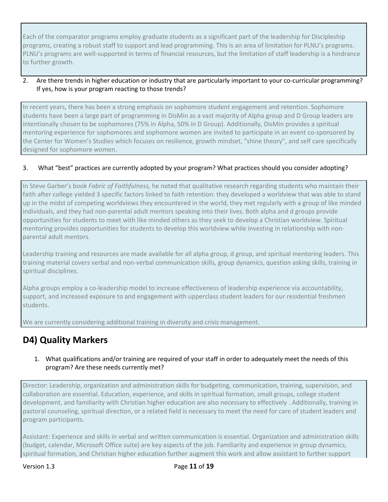Each of the comparator programs employ graduate students as a significant part of the leadership for Discipleship programs, creating a robust staff to support and lead programming. This is an area of limitation for PLNU's programs. PLNU's programs are well-supported in terms of financial resources, but the limitation of staff leadership is a hindrance to further growth.

### 2. Are there trends in higher education or industry that are particularly important to your co-curricular programming? If yes, how is your program reacting to those trends?

In recent years, there has been a strong emphasis on sophomore student engagement and retention. Sophomore students have been a large part of programming in DisMin as a vast majority of Alpha group and D Group leaders are intentionally chosen to be sophomores (75% in Alpha, 50% in D Group). Additionally, DisMin provides a spiritual mentoring experience for sophomores and sophomore women are invited to participate in an event co-sponsored by the Center for Women's Studies which focuses on resilience, growth mindset, "shine theory", and self care specifically designed for sophomore women.

### 3. What "best" practices are currently adopted by your program? What practices should you consider adopting?

In Steve Garber's book *Fabric of Faithfulness,* he noted that qualitative research regarding students who maintain their faith after college yielded 3 specific factors linked to faith retention: they developed a worldview that was able to stand up in the midst of competing worldviews they encountered in the world, they met regularly with a group of like minded individuals, and they had non-parental adult mentors speaking into their lives. Both alpha and d groups provide opportunities for students to meet with like minded others as they seek to develop a Christian worldview. Spiritual mentoring provides opportunities for students to develop this worldview while investing in relationship with nonparental adult mentors.

Leadership training and resources are made available for all alpha group, d group, and spiritual mentoring leaders. This training material covers verbal and non-verbal communication skills, group dynamics, question asking skills, training in spiritual disciplines.

Alpha groups employ a co-leadership model to increase effectiveness of leadership experience via accountability, support, and increased exposure to and engagement with upperclass student leaders for our residential freshmen students.

We are currently considering additional training in diversity and crisis management.

### <span id="page-10-0"></span>**D4) Quality Markers**

### 1. What qualifications and/or training are required of your staff in order to adequately meet the needs of this program? Are these needs currently met?

Director: Leadership, organization and administration skills for budgeting, communication, training, supervision, and collaboration are essential. Education, experience, and skills in spiritual formation, small groups, college student development, and familiarity with Christian higher education are also necessary to effectively . Additionally, training in pastoral counseling, spiritual direction, or a related field is necessary to meet the need for care of student leaders and program participants.

Assistant: Experience and skills in verbal and written communication is essential. Organization and administration skills (budget, calendar, Microsoft Office suite) are key aspects of the job. Familiarity and experience in group dynamics, spiritual formation, and Christian higher education further augment this work and allow assistant to further support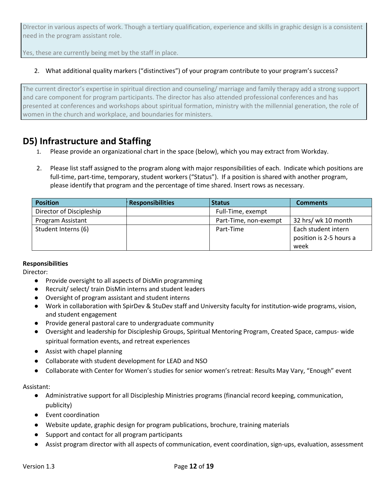DIrector in various aspects of work. Though a tertiary qualification, experience and skills in graphic design is a consistent need in the program assistant role.

Yes, these are currently being met by the staff in place.

### 2. What additional quality markers ("distinctives") of your program contribute to your program's success?

The current director's expertise in spiritual direction and counseling/ marriage and family therapy add a strong support and care component for program participants. The director has also attended professional conferences and has presented at conferences and workshops about spiritual formation, ministry with the millennial generation, the role of women in the church and workplace, and boundaries for ministers.

### <span id="page-11-0"></span>**D5) Infrastructure and Staffing**

- 1. Please provide an organizational chart in the space (below), which you may extract from Workday.
- 2. Please list staff assigned to the program along with major responsibilities of each. Indicate which positions are full-time, part-time, temporary, student workers ("Status"). If a position is shared with another program, please identify that program and the percentage of time shared. Insert rows as necessary.

| <b>Position</b>          | <b>Responsibilities</b> | <b>Status</b>         | <b>Comments</b>         |
|--------------------------|-------------------------|-----------------------|-------------------------|
| Director of Discipleship |                         | Full-Time, exempt     |                         |
| Program Assistant        |                         | Part-Time, non-exempt | 32 hrs/ wk 10 month     |
| Student Interns (6)      |                         | Part-Time             | Each student intern     |
|                          |                         |                       | position is 2-5 hours a |
|                          |                         |                       | week                    |

#### **Responsibilities**

Director:

- Provide oversight to all aspects of DisMin programming
- Recruit/ select/ train DisMin interns and student leaders
- Oversight of program assistant and student interns
- Work in collaboration with SpirDev & StuDev staff and University faculty for institution-wide programs, vision, and student engagement
- Provide general pastoral care to undergraduate community
- Oversight and leadership for Discipleship Groups, Spiritual Mentoring Program, Created Space, campus- wide spiritual formation events, and retreat experiences
- Assist with chapel planning
- Collaborate with student development for LEAD and NSO
- Collaborate with Center for Women's studies for senior women's retreat: Results May Vary, "Enough" event

Assistant:

- Administrative support for all Discipleship Ministries programs (financial record keeping, communication, publicity)
- Event coordination
- Website update, graphic design for program publications, brochure, training materials
- Support and contact for all program participants
- Assist program director with all aspects of communication, event coordination, sign-ups, evaluation, assessment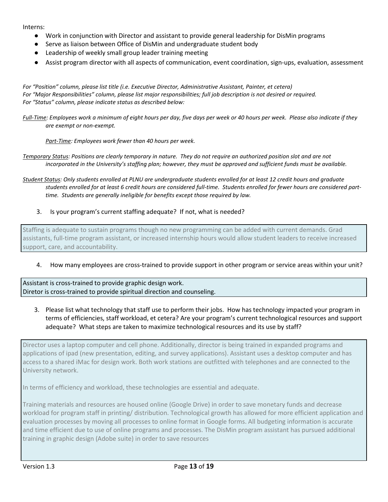#### Interns:

- Work in conjunction with Director and assistant to provide general leadership for DisMin programs
- Serve as liaison between Office of DisMin and undergraduate student body
- Leadership of weekly small group leader training meeting
- Assist program director with all aspects of communication, event coordination, sign-ups, evaluation, assessment

*For "Position" column, please list title (i.e. Executive Director, Administrative Assistant, Painter, et cetera) For "Major Responsibilities" column, please list major responsibilities; full job description is not desired or required. For "Status" column, please indicate status as described below:*

*Full-Time: Employees work a minimum of eight hours per day, five days per week or 40 hours per week. Please also indicate if they are exempt or non-exempt.* 

*Part-Time: Employees work fewer than 40 hours per week.*

*Temporary Status: Positions are clearly temporary in nature. They do not require an authorized position slot and are not incorporated in the University's staffing plan; however, they must be approved and sufficient funds must be available.*

*Student Status: Only students enrolled at PLNU are undergraduate students enrolled for at least 12 credit hours and graduate students enrolled for at least 6 credit hours are considered full-time. Students enrolled for fewer hours are considered parttime. Students are generally ineligible for benefits except those required by law.*

3. Is your program's current staffing adequate? If not, what is needed?

Staffing is adequate to sustain programs though no new programming can be added with current demands. Grad assistants, full-time program assistant, or increased internship hours would allow student leaders to receive increased support, care, and accountability.

#### 4. How many employees are cross-trained to provide support in other program or service areas within your unit?

Assistant is cross-trained to provide graphic design work. Diretor is cross-trained to provide spiritual direction and counseling.

3. Please list what technology that staff use to perform their jobs. How has technology impacted your program in terms of efficiencies, staff workload, et cetera? Are your program's current technological resources and support adequate? What steps are taken to maximize technological resources and its use by staff?

Director uses a laptop computer and cell phone. Additionally, director is being trained in expanded programs and applications of ipad (new presentation, editing, and survey applications). Assistant uses a desktop computer and has access to a shared iMac for design work. Both work stations are outfitted with telephones and are connected to the University network.

In terms of efficiency and workload, these technologies are essential and adequate.

Training materials and resources are housed online (Google Drive) in order to save monetary funds and decrease workload for program staff in printing/ distribution. Technological growth has allowed for more efficient application and evaluation processes by moving all processes to online format in Google forms. All budgeting information is accurate and time efficient due to use of online programs and processes. The DisMin program assistant has pursued additional training in graphic design (Adobe suite) in order to save resources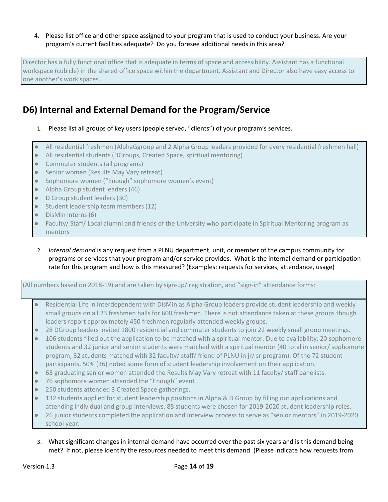### 4. Please list office and other space assigned to your program that is used to conduct your business. Are your program's current facilities adequate? Do you foresee additional needs in this area?

Director has a fully functional office that is adequate in terms of space and accessibility. Assistant has a functional workspace (cubicle) in the shared office space within the department. Assistant and Director also have easy access to one another's work spaces.

### **D6) Internal and External Demand for the Program/Service**

- 1. Please list all groups of key users (people served, "clients") of your program's services.
- All residential freshmen (AlphaGgroup and 2 Alpha Group leaders provided for every residential freshmen hall)
- All residential students (DGroups, Created Space, spiritual mentoring)
- Commuter students (all programs)
- Senior women (Results May Vary retreat)
- Sophomore women ("Enough" sophomore women's event)
- Alpha Group student leaders (46)
- D Group student leaders (30)
- Student leadership team members (12)
- DisMin interns (6)
- Faculty/ Staff/ Local alumni and friends of the University who participate in Spiritual Mentoring program as mentors
- 2. *Internal demand* is any request from a PLNU department, unit, or member of the campus community for programs or services that your program and/or service provides. What is the internal demand or participation rate for this program and how is this measured? (Examples: requests for services, attendance, usage)

### (All numbers based on 2018-19) and are taken by sign-up/ registration, and "sign-in" attendance forms:

- Residential Life in interdependent with DisMin as Alpha Group leaders provide student leadership and weekly small groups on all 23 freshmen halls for 600 freshmen. There is not attendance taken at these groups though leaders report approximately 450 freshmen regularly attended weekly groups.
- 28 DGroup leaders invited 1800 residential and commuter students to join 22 weekly small group meetings.
- 106 students filled out the application to be matched with a spiritual mentor. Due to availability, 20 sophomore students and 32 junior and senior students were matched with a spiritual mentor (40 total in senior/ sophomore program; 32 students matched with 32 faculty/ staff/ friend of PLNU in jr/ sr program). Of the 72 student participants, 50% (36) noted some form of student leadership involvement on their application.
- 63 graduating senior women attended the Results May Vary retreat with 11 faculty/ staff panelists.
- 76 sophomore women attended the "Enough" event.
- 250 students attended 3 Created Space gatherings.
- 132 students applied for student leadership positions in Alpha & D Group by filling out applications and attending individual and group interviews. 88 students were chosen for 2019-2020 student leadership roles.
- 26 junior students completed the application and interview process to serve as "senior mentors" in 2019-2020 school year.
- 3. What significant changes in internal demand have occurred over the past six years and is this demand being met? If not, please identify the resources needed to meet this demand. (Please indicate how requests from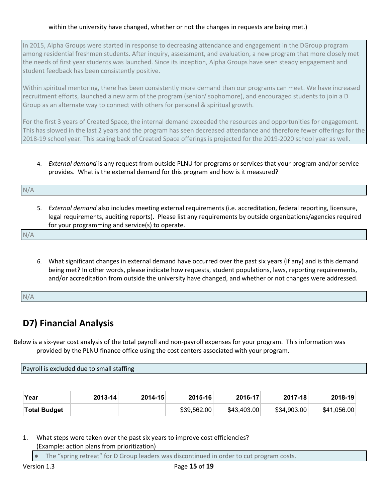### within the university have changed, whether or not the changes in requests are being met.)

In 2015, Alpha Groups were started in response to decreasing attendance and engagement in the DGroup program among residential freshmen students. After inquiry, assessment, and evaluation, a new program that more closely met the needs of first year students was launched. Since its inception, Alpha Groups have seen steady engagement and student feedback has been consistently positive.

Within spiritual mentoring, there has been consistently more demand than our programs can meet. We have increased recruitment efforts, launched a new arm of the program (senior/ sophomore), and encouraged students to join a D Group as an alternate way to connect with others for personal & spiritual growth.

For the first 3 years of Created Space, the internal demand exceeded the resources and opportunities for engagement. This has slowed in the last 2 years and the program has seen decreased attendance and therefore fewer offerings for the 2018-19 school year. This scaling back of Created Space offerings is projected for the 2019-2020 school year as well.

### 4. *External demand* is any request from outside PLNU for programs or services that your program and/or service provides. What is the external demand for this program and how is it measured?

N/A 5. *External demand* also includes meeting external requirements (i.e. accreditation, federal reporting, licensure,

legal requirements, auditing reports).Please list any requirements by outside organizations/agencies required for your programming and service(s) to operate.

N/A

6. What significant changes in external demand have occurred over the past six years (if any) and is this demand being met? In other words, please indicate how requests, student populations, laws, reporting requirements, and/or accreditation from outside the university have changed, and whether or not changes were addressed.

N/A

### <span id="page-14-0"></span>**D7) Financial Analysis**

Below is a six-year cost analysis of the total payroll and non-payroll expenses for your program. This information was provided by the PLNU finance office using the cost centers associated with your program.

Payroll is excluded due to small staffing

| Year                | $2013 - 14$ | $2014 - 15$ | $2015 - 16$ | 2016-17     | 2017-18     | 2018-19     |
|---------------------|-------------|-------------|-------------|-------------|-------------|-------------|
| <b>Total Budget</b> |             |             | \$39,562.00 | \$43,403.00 | \$34,903.00 | \$41,056.00 |

1. What steps were taken over the past six years to improve cost efficiencies? (Example: action plans from prioritization)

The "spring retreat" for D Group leaders was discontinued in order to cut program costs.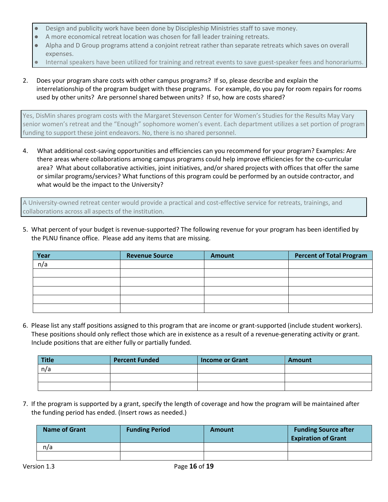- Design and publicity work have been done by Discipleship Ministries staff to save money.
- A more economical retreat location was chosen for fall leader training retreats.
- Alpha and D Group programs attend a conjoint retreat rather than separate retreats which saves on overall expenses.
- Internal speakers have been utilized for training and retreat events to save guest-speaker fees and honorariums.
- 2. Does your program share costs with other campus programs? If so, please describe and explain the interrelationship of the program budget with these programs. For example, do you pay for room repairs for rooms used by other units? Are personnel shared between units? If so, how are costs shared?

Yes, DisMin shares program costs with the Margaret Stevenson Center for Women's Studies for the Results May Vary senior women's retreat and the "Enough" sophomore women's event. Each department utilizes a set portion of program funding to support these joint endeavors. No, there is no shared personnel.

4. What additional cost-saving opportunities and efficiencies can you recommend for your program? Examples: Are there areas where collaborations among campus programs could help improve efficiencies for the co-curricular area? What about collaborative activities, joint initiatives, and/or shared projects with offices that offer the same or similar programs/services? What functions of this program could be performed by an outside contractor, and what would be the impact to the University?

A University-owned retreat center would provide a practical and cost-effective service for retreats, trainings, and collaborations across all aspects of the institution.

5. What percent of your budget is revenue-supported? The following revenue for your program has been identified by the PLNU finance office. Please add any items that are missing.

| Year | <b>Revenue Source</b> | <b>Amount</b> | <b>Percent of Total Program</b> |
|------|-----------------------|---------------|---------------------------------|
| n/a  |                       |               |                                 |
|      |                       |               |                                 |
|      |                       |               |                                 |
|      |                       |               |                                 |
|      |                       |               |                                 |
|      |                       |               |                                 |

6. Please list any staff positions assigned to this program that are income or grant-supported (include student workers). These positions should only reflect those which are in existence as a result of a revenue-generating activity or grant. Include positions that are either fully or partially funded.

| Title | <b>Percent Funded</b> | <b>Income or Grant</b> | <b>Amount</b> |
|-------|-----------------------|------------------------|---------------|
| n/a   |                       |                        |               |
|       |                       |                        |               |
|       |                       |                        |               |

7. If the program is supported by a grant, specify the length of coverage and how the program will be maintained after the funding period has ended. (Insert rows as needed.)

| <b>Name of Grant</b> | <b>Funding Period</b> | Amount | <b>Funding Source after</b><br><b>Expiration of Grant</b> |
|----------------------|-----------------------|--------|-----------------------------------------------------------|
| n/a                  |                       |        |                                                           |
|                      |                       |        |                                                           |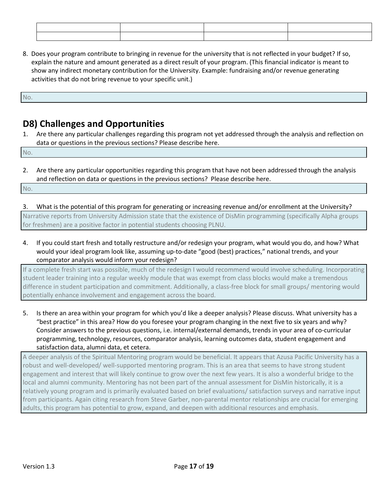| the contract of the contract of the contract of the contract of the contract of the contract of the contract of |  |
|-----------------------------------------------------------------------------------------------------------------|--|
|                                                                                                                 |  |
|                                                                                                                 |  |
|                                                                                                                 |  |
|                                                                                                                 |  |
|                                                                                                                 |  |

8. Does your program contribute to bringing in revenue for the university that is not reflected in your budget? If so, explain the nature and amount generated as a direct result of your program. (This financial indicator is meant to show any indirect monetary contribution for the University. Example: fundraising and/or revenue generating activities that do not bring revenue to your specific unit.)

No.

### <span id="page-16-0"></span>**D8) Challenges and Opportunities**

1. Are there any particular challenges regarding this program not yet addressed through the analysis and reflection on data or questions in the previous sections? Please describe here.

No.

2. Are there any particular opportunities regarding this program that have not been addressed through the analysis and reflection on data or questions in the previous sections? Please describe here.

<span id="page-16-1"></span>No.

- 3. What is the potential of this program for generating or increasing revenue and/or enrollment at the University? Narrative reports from University Admission state that the existence of DisMin programming (specifically Alpha groups for freshmen) are a positive factor in potential students choosing PLNU.
- 4. If you could start fresh and totally restructure and/or redesign your program, what would you do, and how? What would your ideal program look like, assuming up-to-date "good (best) practices," national trends, and your comparator analysis would inform your redesign?

If a complete fresh start was possible, much of the redesign I would recommend would involve scheduling. Incorporating student leader training into a regular weekly module that was exempt from class blocks would make a tremendous difference in student participation and commitment. Additionally, a class-free block for small groups/ mentoring would potentially enhance involvement and engagement across the board.

5. Is there an area within your program for which you'd like a deeper analysis? Please discuss. What university has a "best practice" in this area? How do you foresee your program changing in the next five to six years and why? Consider answers to the previous questions, i.e. internal/external demands, trends in your area of co-curricular programming, technology, resources, comparator analysis, learning outcomes data, student engagement and satisfaction data, alumni data, et cetera.

A deeper analysis of the Spiritual Mentoring program would be beneficial. It appears that Azusa Pacific University has a robust and well-developed/ well-supported mentoring program. This is an area that seems to have strong student engagement and interest that will likely continue to grow over the next few years. It is also a wonderful bridge to the local and alumni community. Mentoring has not been part of the annual assessment for DisMin historically, it is a relatively young program and is primarily evaluated based on brief evaluations/ satisfaction surveys and narrative input from participants. Again citing research from Steve Garber, non-parental mentor relationships are crucial for emerging adults, this program has potential to grow, expand, and deepen with additional resources and emphasis.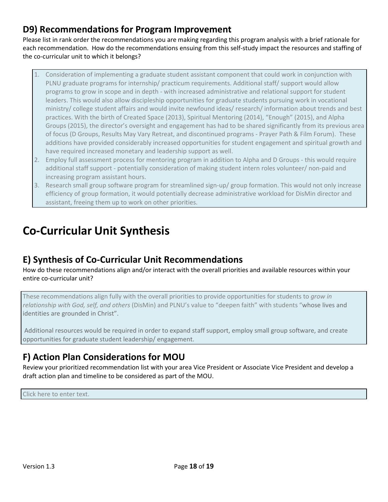### **D9) Recommendations for Program Improvement**

Please list in rank order the recommendations you are making regarding this program analysis with a brief rationale for each recommendation. How do the recommendations ensuing from this self-study impact the resources and staffing of the co-curricular unit to which it belongs?

- 1. Consideration of implementing a graduate student assistant component that could work in conjunction with PLNU graduate programs for internship/ practicum requirements. Additional staff/ support would allow programs to grow in scope and in depth - with increased administrative and relational support for student leaders. This would also allow discipleship opportunities for graduate students pursuing work in vocational ministry/ college student affairs and would invite newfound ideas/ research/ information about trends and best practices. With the birth of Created Space (2013), Spiritual Mentoring (2014), "Enough" (2015), and Alpha Groups (2015), the director's oversight and engagement has had to be shared significantly from its previous area of focus (D Groups, Results May Vary Retreat, and discontinued programs - Prayer Path & Film Forum). These additions have provided considerably increased opportunities for student engagement and spiritual growth and have required increased monetary and leadership support as well.
- 2. Employ full assessment process for mentoring program in addition to Alpha and D Groups this would require additional staff support - potentially consideration of making student intern roles volunteer/ non-paid and increasing program assistant hours.
- 3. Research small group software program for streamlined sign-up/ group formation. This would not only increase efficiency of group formation, it would potentially decrease administrative workload for DisMin director and assistant, freeing them up to work on other priorities.

# <span id="page-17-0"></span>**Co-Curricular Unit Synthesis**

### <span id="page-17-1"></span>**E) Synthesis of Co-Curricular Unit Recommendations**

How do these recommendations align and/or interact with the overall priorities and available resources within your entire co-curricular unit?

These recommendations align fully with the overall priorities to provide opportunities for students to *grow in relationship with God, self, and others* (DisMin) and PLNU's value to "deepen faith" with students "whose lives and identities are grounded in Christ".

Additional resources would be required in order to expand staff support, employ small group software, and create opportunities for graduate student leadership/ engagement.

### <span id="page-17-2"></span>**F) Action Plan Considerations for MOU**

Review your prioritized recommendation list with your area Vice President or Associate Vice President and develop a draft action plan and timeline to be considered as part of the MOU.

Click here to enter text.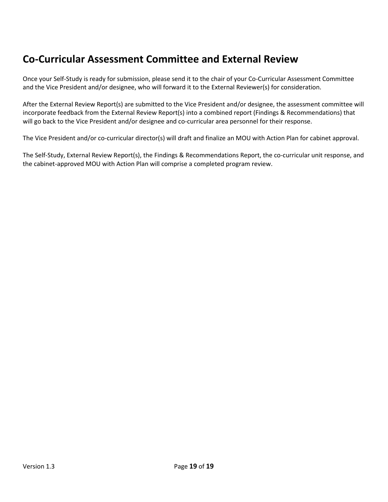## <span id="page-18-0"></span>**Co-Curricular Assessment Committee and External Review**

Once your Self-Study is ready for submission, please send it to the chair of your Co-Curricular Assessment Committee and the Vice President and/or designee, who will forward it to the External Reviewer(s) for consideration.

After the External Review Report(s) are submitted to the Vice President and/or designee, the assessment committee will incorporate feedback from the External Review Report(s) into a combined report (Findings & Recommendations) that will go back to the Vice President and/or designee and co-curricular area personnel for their response.

The Vice President and/or co-curricular director(s) will draft and finalize an MOU with Action Plan for cabinet approval.

The Self-Study, External Review Report(s), the Findings & Recommendations Report, the co-curricular unit response, and the cabinet-approved MOU with Action Plan will comprise a completed program review.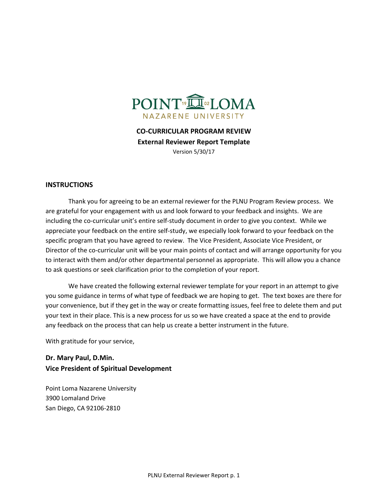

**CO-CURRICULAR PROGRAM REVIEW External Reviewer Report Template** Version 5/30/17

#### **INSTRUCTIONS**

Thank you for agreeing to be an external reviewer for the PLNU Program Review process. We are grateful for your engagement with us and look forward to your feedback and insights. We are including the co-curricular unit's entire self-study document in order to give you context. While we appreciate your feedback on the entire self-study, we especially look forward to your feedback on the specific program that you have agreed to review. The Vice President, Associate Vice President, or Director of the co-curricular unit will be your main points of contact and will arrange opportunity for you to interact with them and/or other departmental personnel as appropriate. This will allow you a chance to ask questions or seek clarification prior to the completion of your report.

We have created the following external reviewer template for your report in an attempt to give you some guidance in terms of what type of feedback we are hoping to get. The text boxes are there for your convenience, but if they get in the way or create formatting issues, feel free to delete them and put your text in their place. This is a new process for us so we have created a space at the end to provide any feedback on the process that can help us create a better instrument in the future.

With gratitude for your service,

**Dr. Mary Paul, D.Min. Vice President of Spiritual Development**

Point Loma Nazarene University 3900 Lomaland Drive San Diego, CA 92106-2810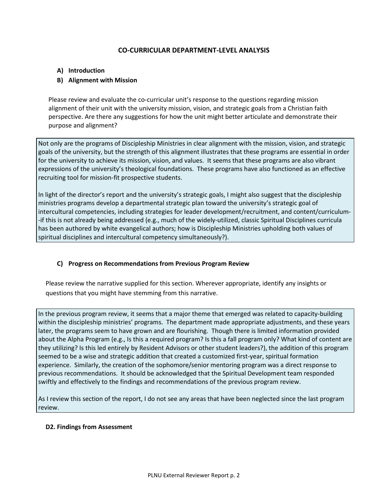### **CO-CURRICULAR DEPARTMENT-LEVEL ANALYSIS**

### **A) Introduction**

### **B) Alignment with Mission**

Please review and evaluate the co-curricular unit's response to the questions regarding mission alignment of their unit with the university mission, vision, and strategic goals from a Christian faith perspective. Are there any suggestions for how the unit might better articulate and demonstrate their purpose and alignment?

Not only are the programs of Discipleship Ministries in clear alignment with the mission, vision, and strategic goals of the university, but the strength of this alignment illustrates that these programs are essential in order for the university to achieve its mission, vision, and values. It seems that these programs are also vibrant expressions of the university's theological foundations. These programs have also functioned as an effective recruiting tool for mission-fit prospective students.

In light of the director's report and the university's strategic goals, I might also suggest that the discipleship ministries programs develop a departmental strategic plan toward the university's strategic goal of intercultural competencies, including strategies for leader development/recruitment, and content/curriculum- -if this is not already being addressed (e.g., much of the widely-utilized, classic Spiritual Disciplines curricula has been authored by white evangelical authors; how is Discipleship Ministries upholding both values of spiritual disciplines and intercultural competency simultaneously?).

#### **C) Progress on Recommendations from Previous Program Review**

Please review the narrative supplied for this section. Wherever appropriate, identify any insights or questions that you might have stemming from this narrative.

In the previous program review, it seems that a major theme that emerged was related to capacity-building within the discipleship ministries' programs. The department made appropriate adjustments, and these years later, the programs seem to have grown and are flourishing. Though there is limited information provided about the Alpha Program (e.g., Is this a required program? Is this a fall program only? What kind of content are they utilizing? Is this led entirely by Resident Advisors or other student leaders?), the addition of this program seemed to be a wise and strategic addition that created a customized first-year, spiritual formation experience. Similarly, the creation of the sophomore/senior mentoring program was a direct response to previous recommendations. It should be acknowledged that the Spiritual Development team responded swiftly and effectively to the findings and recommendations of the previous program review.

As I review this section of the report, I do not see any areas that have been neglected since the last program review.

#### **D2. Findings from Assessment**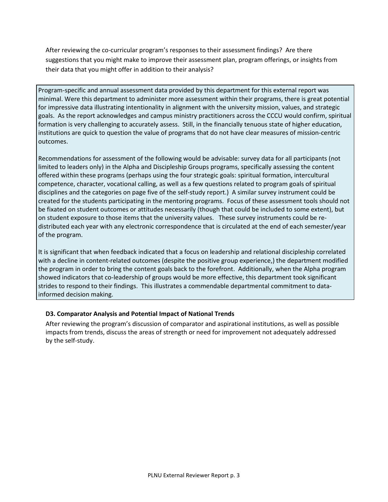After reviewing the co-curricular program's responses to their assessment findings? Are there suggestions that you might make to improve their assessment plan, program offerings, or insights from their data that you might offer in addition to their analysis?

Program-specific and annual assessment data provided by this department for this external report was minimal. Were this department to administer more assessment within their programs, there is great potential for impressive data illustrating intentionality in alignment with the university mission, values, and strategic goals. As the report acknowledges and campus ministry practitioners across the CCCU would confirm, spiritual formation is very challenging to accurately assess. Still, in the financially tenuous state of higher education, institutions are quick to question the value of programs that do not have clear measures of mission-centric outcomes.

Recommendations for assessment of the following would be advisable: survey data for all participants (not limited to leaders only) in the Alpha and Discipleship Groups programs, specifically assessing the content offered within these programs (perhaps using the four strategic goals: spiritual formation, intercultural competence, character, vocational calling, as well as a few questions related to program goals of spiritual disciplines and the categories on page five of the self-study report.) A similar survey instrument could be created for the students participating in the mentoring programs. Focus of these assessment tools should not be fixated on student outcomes or attitudes necessarily (though that could be included to some extent), but on student exposure to those items that the university values. These survey instruments could be redistributed each year with any electronic correspondence that is circulated at the end of each semester/year of the program.

It is significant that when feedback indicated that a focus on leadership and relational discipleship correlated with a decline in content-related outcomes (despite the positive group experience,) the department modified the program in order to bring the content goals back to the forefront. Additionally, when the Alpha program showed indicators that co-leadership of groups would be more effective, this department took significant strides to respond to their findings. This illustrates a commendable departmental commitment to datainformed decision making.

### **D3. Comparator Analysis and Potential Impact of National Trends**

After reviewing the program's discussion of comparator and aspirational institutions, as well as possible impacts from trends, discuss the areas of strength or need for improvement not adequately addressed by the self-study.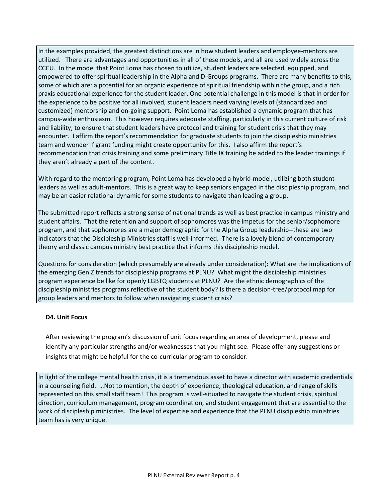In the examples provided, the greatest distinctions are in how student leaders and employee-mentors are utilized. There are advantages and opportunities in all of these models, and all are used widely across the CCCU. In the model that Point Loma has chosen to utilize, student leaders are selected, equipped, and empowered to offer spiritual leadership in the Alpha and D-Groups programs. There are many benefits to this, some of which are: a potential for an organic experience of spiritual friendship within the group, and a rich praxis educational experience for the student leader. One potential challenge in this model is that in order for the experience to be positive for all involved, student leaders need varying levels of (standardized and customized) mentorship and on-going support. Point Loma has established a dynamic program that has campus-wide enthusiasm. This however requires adequate staffing, particularly in this current culture of risk and liability, to ensure that student leaders have protocol and training for student crisis that they may encounter. I affirm the report's recommendation for graduate students to join the discipleship ministries team and wonder if grant funding might create opportunity for this. I also affirm the report's recommendation that crisis training and some preliminary Title IX training be added to the leader trainings if they aren't already a part of the content.

With regard to the mentoring program, Point Loma has developed a hybrid-model, utilizing both studentleaders as well as adult-mentors. This is a great way to keep seniors engaged in the discipleship program, and may be an easier relational dynamic for some students to navigate than leading a group.

The submitted report reflects a strong sense of national trends as well as best practice in campus ministry and student affairs. That the retention and support of sophomores was the impetus for the senior/sophomore program, and that sophomores are a major demographic for the Alpha Group leadership--these are two indicators that the Discipleship Ministries staff is well-informed. There is a lovely blend of contemporary theory and classic campus ministry best practice that informs this discipleship model.

Questions for consideration (which presumably are already under consideration): What are the implications of the emerging Gen Z trends for discipleship programs at PLNU? What might the discipleship ministries program experience be like for openly LGBTQ students at PLNU? Are the ethnic demographics of the discipleship ministries programs reflective of the student body? Is there a decision-tree/protocol map for group leaders and mentors to follow when navigating student crisis?

### **D4. Unit Focus**

After reviewing the program's discussion of unit focus regarding an area of development, please and identify any particular strengths and/or weaknesses that you might see. Please offer any suggestions or insights that might be helpful for the co-curricular program to consider.

In light of the college mental health crisis, it is a tremendous asset to have a director with academic credentials in a counseling field. …Not to mention, the depth of experience, theological education, and range of skills represented on this small staff team! This program is well-situated to navigate the student crisis, spiritual direction, curriculum management, program coordination, and student engagement that are essential to the work of discipleship ministries. The level of expertise and experience that the PLNU discipleship ministries team has is very unique.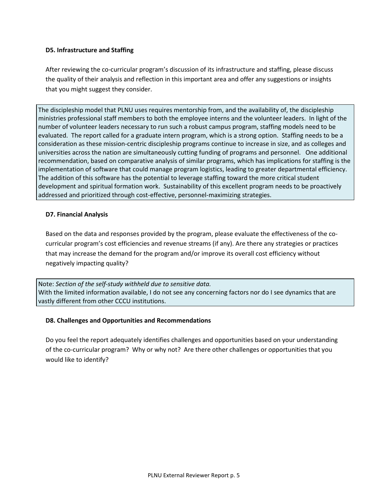### **D5. Infrastructure and Staffing**

After reviewing the co-curricular program's discussion of its infrastructure and staffing, please discuss the quality of their analysis and reflection in this important area and offer any suggestions or insights that you might suggest they consider.

The discipleship model that PLNU uses requires mentorship from, and the availability of, the discipleship ministries professional staff members to both the employee interns and the volunteer leaders. In light of the number of volunteer leaders necessary to run such a robust campus program, staffing models need to be evaluated. The report called for a graduate intern program, which is a strong option. Staffing needs to be a consideration as these mission-centric discipleship programs continue to increase in size, and as colleges and universities across the nation are simultaneously cutting funding of programs and personnel. One additional recommendation, based on comparative analysis of similar programs, which has implications for staffing is the implementation of software that could manage program logistics, leading to greater departmental efficiency. The addition of this software has the potential to leverage staffing toward the more critical student development and spiritual formation work. Sustainability of this excellent program needs to be proactively addressed and prioritized through cost-effective, personnel-maximizing strategies.

### **D7. Financial Analysis**

Based on the data and responses provided by the program, please evaluate the effectiveness of the cocurricular program's cost efficiencies and revenue streams (if any). Are there any strategies or practices that may increase the demand for the program and/or improve its overall cost efficiency without negatively impacting quality?

Note: *Section of the self-study withheld due to sensitive data.* With the limited information available, I do not see any concerning factors nor do I see dynamics that are vastly different from other CCCU institutions.

#### **D8. Challenges and Opportunities and Recommendations**

Do you feel the report adequately identifies challenges and opportunities based on your understanding of the co-curricular program? Why or why not? Are there other challenges or opportunities that you would like to identify?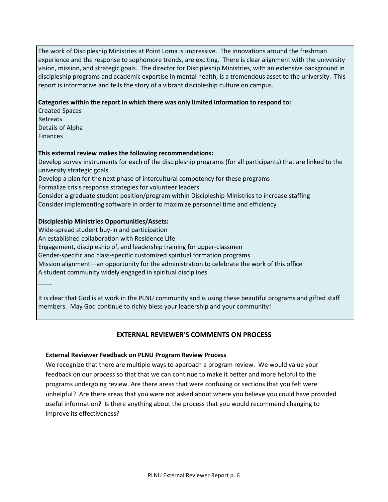The work of Discipleship Ministries at Point Loma is impressive. The innovations around the freshman experience and the response to sophomore trends, are exciting. There is clear alignment with the university vision, mission, and strategic goals. The director for Discipleship Ministries, with an extensive background in discipleship programs and academic expertise in mental health, is a tremendous asset to the university. This report is informative and tells the story of a vibrant discipleship culture on campus.

### **Categories within the report in which there was only limited information to respond to:**

Created Spaces Retreats Details of Alpha Finances

#### **This external review makes the following recommendations:**

Develop survey instruments for each of the discipleship programs (for all participants) that are linked to the university strategic goals

Develop a plan for the next phase of intercultural competency for these programs

Formalize crisis response strategies for volunteer leaders

Consider a graduate student position/program within Discipleship Ministries to increase staffing Consider implementing software in order to maximize personnel time and efficiency

### **Discipleship Ministries Opportunities/Assets:**

Wide-spread student buy-in and participation An established collaboration with Residence Life Engagement, discipleship of, and leadership training for upper-classmen Gender-specific and class-specific customized spiritual formation programs Mission alignment—an opportunity for the administration to celebrate the work of this office A student community widely engaged in spiritual disciplines \_\_\_\_

It is clear that God is at work in the PLNU community and is using these beautiful programs and gifted staff members. May God continue to richly bless your leadership and your community!

### **EXTERNAL REVIEWER'S COMMENTS ON PROCESS**

#### **External Reviewer Feedback on PLNU Program Review Process**

We recognize that there are multiple ways to approach a program review. We would value your feedback on our process so that that we can continue to make it better and more helpful to the programs undergoing review. Are there areas that were confusing or sections that you felt were unhelpful? Are there areas that you were not asked about where you believe you could have provided useful information? Is there anything about the process that you would recommend changing to improve its effectiveness?